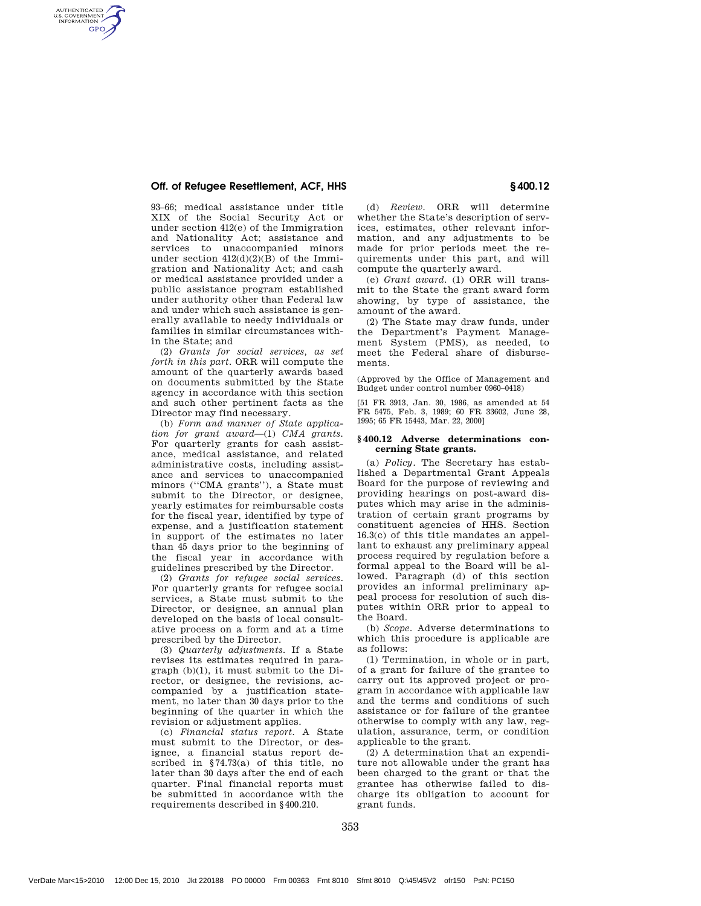# Off. of Refugee Resettlement, ACF, HHS **EXAMPLE 2008** 400.12

AUTHENTICATED<br>U.S. GOVERNMENT<br>INFORMATION **GPO** 

> 93–66; medical assistance under title XIX of the Social Security Act or under section 412(e) of the Immigration and Nationality Act; assistance and services to unaccompanied minors under section  $412(d)(2)(B)$  of the Immigration and Nationality Act; and cash or medical assistance provided under a public assistance program established under authority other than Federal law and under which such assistance is generally available to needy individuals or families in similar circumstances within the State; and

> (2) *Grants for social services, as set forth in this part.* ORR will compute the amount of the quarterly awards based on documents submitted by the State agency in accordance with this section and such other pertinent facts as the Director may find necessary.

> (b) *Form and manner of State application for grant award*—(1) *CMA grants.* For quarterly grants for cash assistance, medical assistance, and related administrative costs, including assistance and services to unaccompanied minors (''CMA grants''), a State must submit to the Director, or designee, yearly estimates for reimbursable costs for the fiscal year, identified by type of expense, and a justification statement in support of the estimates no later than 45 days prior to the beginning of the fiscal year in accordance with guidelines prescribed by the Director.

> (2) *Grants for refugee social services.* For quarterly grants for refugee social services, a State must submit to the Director, or designee, an annual plan developed on the basis of local consultative process on a form and at a time prescribed by the Director.

> (3) *Quarterly adjustments.* If a State revises its estimates required in paragraph (b)(1), it must submit to the Director, or designee, the revisions, accompanied by a justification statement, no later than 30 days prior to the beginning of the quarter in which the revision or adjustment applies.

> (c) *Financial status report.* A State must submit to the Director, or designee, a financial status report described in §74.73(a) of this title, no later than 30 days after the end of each quarter. Final financial reports must be submitted in accordance with the requirements described in §400.210.

(d) *Review.* ORR will determine whether the State's description of services, estimates, other relevant information, and any adjustments to be made for prior periods meet the requirements under this part, and will compute the quarterly award.

(e) *Grant award.* (1) ORR will transmit to the State the grant award form showing, by type of assistance, the amount of the award.

(2) The State may draw funds, under the Department's Payment Management System (PMS), as needed, to meet the Federal share of disbursements.

(Approved by the Office of Management and Budget under control number 0960–0418)

[51 FR 3913, Jan. 30, 1986, as amended at 54 FR 5475, Feb. 3, 1989; 60 FR 33602, June 28, 1995; 65 FR 15443, Mar. 22, 2000]

### **§ 400.12 Adverse determinations concerning State grants.**

(a) *Policy.* The Secretary has established a Departmental Grant Appeals Board for the purpose of reviewing and providing hearings on post-award disputes which may arise in the administration of certain grant programs by constituent agencies of HHS. Section 16.3(c) of this title mandates an appellant to exhaust any preliminary appeal process required by regulation before a formal appeal to the Board will be allowed. Paragraph (d) of this section provides an informal preliminary appeal process for resolution of such disputes within ORR prior to appeal to the Board.

(b) *Scope.* Adverse determinations to which this procedure is applicable are as follows:

(1) Termination, in whole or in part, of a grant for failure of the grantee to carry out its approved project or program in accordance with applicable law and the terms and conditions of such assistance or for failure of the grantee otherwise to comply with any law, regulation, assurance, term, or condition applicable to the grant.

(2) A determination that an expenditure not allowable under the grant has been charged to the grant or that the grantee has otherwise failed to discharge its obligation to account for grant funds.